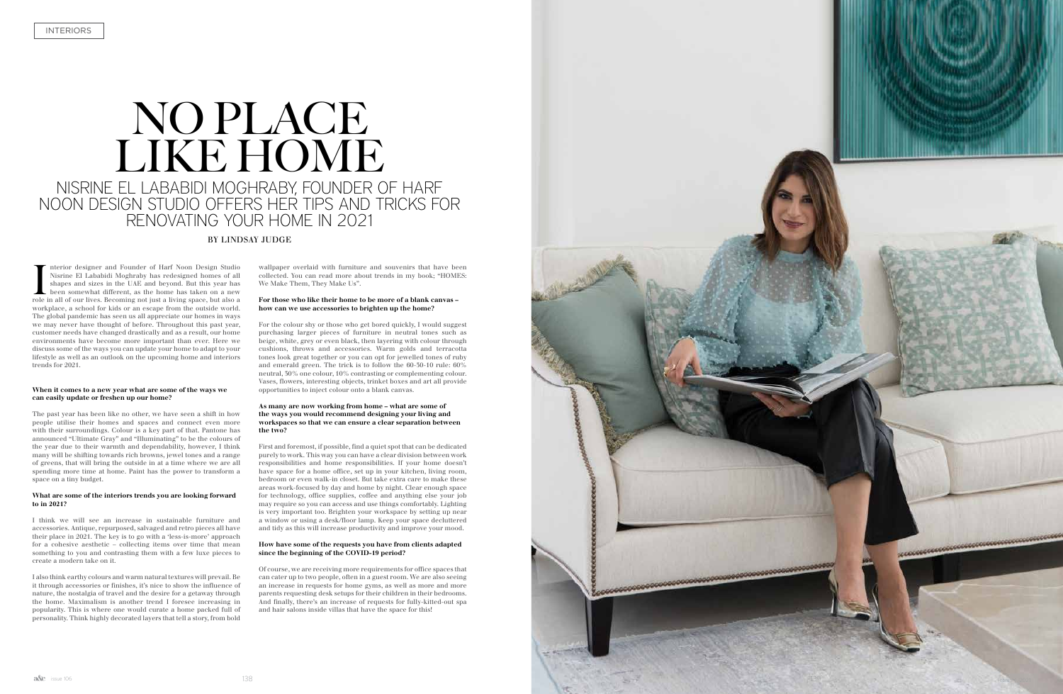# NO PLACE LIKE HOME NISRINE EL LABABIDI MOGHRABY, FOUNDER OF HARF NOON DESIGN STUDIO OFFERS HER TIPS AND TRICKS FOR RENOVATING YOUR HOME IN 2021

Interior designer and Founder of Harf Noon Design Studio<br>Nisrine El Lababidi Moghraby has redesigned homes of all<br>shapes and sizes in the UAE and beyond. But this year has<br>been somewhat different, as the home has taken on nterior designer and Founder of Harf Noon Design Studio Nisrine El Lababidi Moghraby has redesigned homes of all shapes and sizes in the UAE and beyond. But this year has been somewhat different, as the home has taken on a new workplace, a school for kids or an escape from the outside world. The global pandemic has seen us all appreciate our homes in ways we may never have thought of before. Throughout this past year, customer needs have changed drastically and as a result, our home environments have become more important than ever. Here we discuss some of the ways you can update your home to adapt to your lifestyle as well as an outlook on the upcoming home and interiors trends for 2021.

## **When it comes to a new year what are some of the ways we can easily update or freshen up our home?**

The past year has been like no other, we have seen a shift in how people utilise their homes and spaces and connect even more with their surroundings. Colour is a key part of that. Pantone has announced "Ultimate Gray" and "Illuminating" to be the colours of the year due to their warmth and dependability, however, I think many will be shifting towards rich browns, jewel tones and a range of greens, that will bring the outside in at a time where we are all spending more time at home. Paint has the power to transform a space on a tiny budget.

## **What are some of the interiors trends you are looking forward to in 2021?**

I think we will see an increase in sustainable furniture and accessories. Antique, repurposed, salvaged and retro pieces all have their place in 2021. The key is to go with a 'less-is-more' approach for a cohesive aesthetic – collecting items over time that mean something to you and contrasting them with a few luxe pieces to create a modern take on it.

I also think earthy colours and warm natural textures will prevail. Be it through accessories or finishes, it's nice to show the influence of nature, the nostalgia of travel and the desire for a getaway through the home. Maximalism is another trend I foresee increasing in popularity. This is where one would curate a home packed full of personality. Think highly decorated layers that tell a story, from bold

## BY LINDSAY JUDGE

wallpaper overlaid with furniture and souvenirs that have been collected. You can read more about trends in my book; "HOMES: We Make Them, They Make Us".

### **For those who like their home to be more of a blank canvas – how can we use accessories to brighten up the home?**

For the colour shy or those who get bored quickly, I would suggest purchasing larger pieces of furniture in neutral tones such as beige, white, grey or even black, then layering with colour through cushions, throws and accessories. Warm golds and terracotta tones look great together or you can opt for jewelled tones of ruby and emerald green. The trick is to follow the 60-30-10 rule: 60% neutral, 30% one colour, 10% contrasting or complementing colour. Vases, flowers, interesting objects, trinket boxes and art all provide opportunities to inject colour onto a blank canvas.

### **As many are now working from home – what are some of the ways you would recommend designing your living and workspaces so that we can ensure a clear separation between the two?**

First and foremost, if possible, find a quiet spot that can be dedicated purely to work. This way you can have a clear division between work responsibilities and home responsibilities. If your home doesn't have space for a home office, set up in your kitchen, living room, bedroom or even walk-in closet. But take extra care to make these areas work-focused by day and home by night. Clear enough space for technology, office supplies, coffee and anything else your job may require so you can access and use things comfortably. Lighting is very important too. Brighten your workspace by setting up near a window or using a desk/floor lamp. Keep your space decluttered and tidy as this will increase productivity and improve your mood.

## **How have some of the requests you have from clients adapted since the beginning of the COVID-19 period?**

Of course, we are receiving more requirements for office spaces that can cater up to two people, often in a guest room. We are also seeing an increase in requests for home gyms, as well as more and more parents requesting desk setups for their children in their bedrooms. And finally, there's an increase of requests for fully-kitted-out spa and hair salons inside villas that have the space for this!

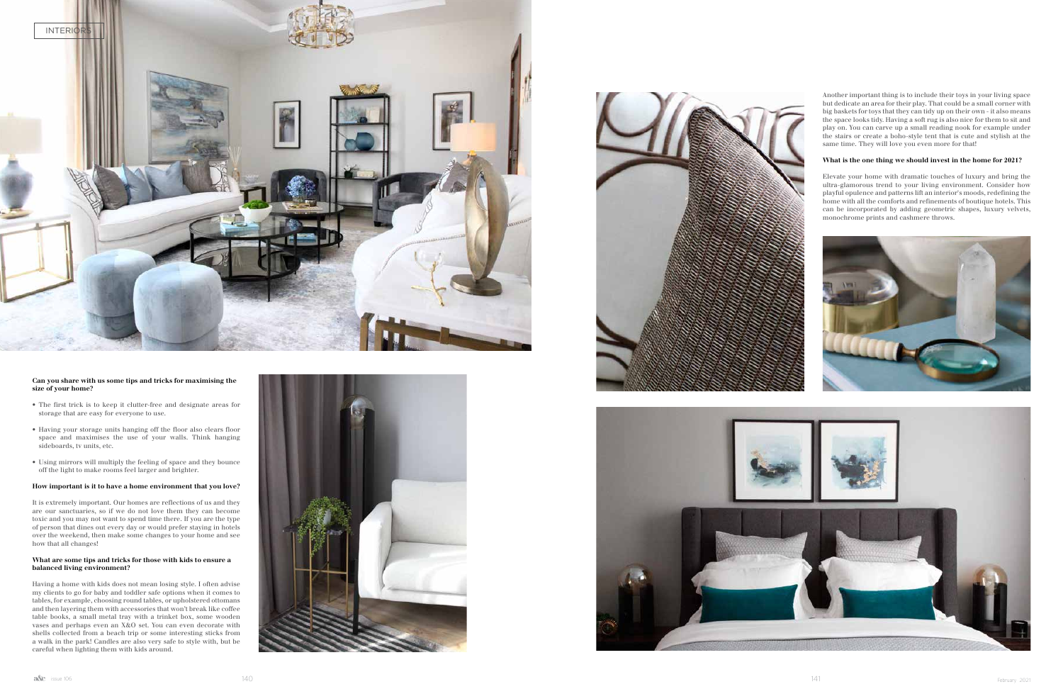## **Can you share with us some tips and tricks for maximising the size of your home?**

- The first trick is to keep it clutter-free and designate areas for storage that are easy for everyone to use.
- Having your storage units hanging off the floor also clears floor space and maximises the use of your walls. Think hanging sideboards, tv units, etc.
- Using mirrors will multiply the feeling of space and they bounce off the light to make rooms feel larger and brighter.

## **How important is it to have a home environment that you love?**

It is extremely important. Our homes are reflections of us and they are our sanctuaries, so if we do not love them they can become toxic and you may not want to spend time there. If you are the type of person that dines out every day or would prefer staying in hotels over the weekend, then make some changes to your home and see how that all changes!

## **What are some tips and tricks for those with kids to ensure a balanced living environment?**

Having a home with kids does not mean losing style. I often advise my clients to go for baby and toddler safe options when it comes to tables, for example, choosing round tables, or upholstered ottomans and then layering them with accessories that won't break like coffee table books, a small metal tray with a trinket box, some wooden vases and perhaps even an X&O set. You can even decorate with shells collected from a beach trip or some interesting sticks from a walk in the park! Candles are also very safe to style with, but be careful when lighting them with kids around.









Another important thing is to include their toys in your living space but dedicate an area for their play. That could be a small corner with big baskets for toys that they can tidy up on their own - it also means the space looks tidy. Having a soft rug is also nice for them to sit and play on. You can carve up a small reading nook for example under the stairs or create a boho-style tent that is cute and stylish at the same time. They will love you even more for that!

## **What is the one thing we should invest in the home for 2021?**

Elevate your home with dramatic touches of luxury and bring the ultra-glamorous trend to your living environment. Consider how playful opulence and patterns lift an interior's moods, redefining the home with all the comforts and refinements of boutique hotels. This can be incorporated by adding geometric shapes, luxury velvets, monochrome prints and cashmere throws.